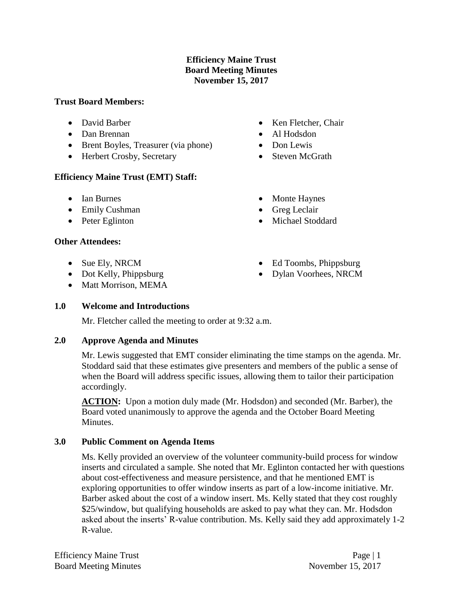# **Efficiency Maine Trust Board Meeting Minutes November 15, 2017**

#### **Trust Board Members:**

- David Barber
- Dan Brennan
- Brent Boyles, Treasurer (via phone)
- Herbert Crosby, Secretary

# **Efficiency Maine Trust (EMT) Staff:**

- Ian Burnes
- Emily Cushman
- Peter Eglinton

# **Other Attendees:**

- Sue Ely, NRCM
- Dot Kelly, Phippsburg
- Matt Morrison, MEMA
- Ken Fletcher, Chair
- Al Hodsdon
- Don Lewis
- Steven McGrath
- Monte Haynes
- Greg Leclair
- Michael Stoddard
- Ed Toombs, Phippsburg
- Dylan Voorhees, NRCM

# **1.0 Welcome and Introductions**

Mr. Fletcher called the meeting to order at 9:32 a.m.

# **2.0 Approve Agenda and Minutes**

Mr. Lewis suggested that EMT consider eliminating the time stamps on the agenda. Mr. Stoddard said that these estimates give presenters and members of the public a sense of when the Board will address specific issues, allowing them to tailor their participation accordingly.

**ACTION:** Upon a motion duly made (Mr. Hodsdon) and seconded (Mr. Barber), the Board voted unanimously to approve the agenda and the October Board Meeting Minutes.

# **3.0 Public Comment on Agenda Items**

Ms. Kelly provided an overview of the volunteer community-build process for window inserts and circulated a sample. She noted that Mr. Eglinton contacted her with questions about cost-effectiveness and measure persistence, and that he mentioned EMT is exploring opportunities to offer window inserts as part of a low-income initiative. Mr. Barber asked about the cost of a window insert. Ms. Kelly stated that they cost roughly \$25/window, but qualifying households are asked to pay what they can. Mr. Hodsdon asked about the inserts' R-value contribution. Ms. Kelly said they add approximately 1-2 R-value.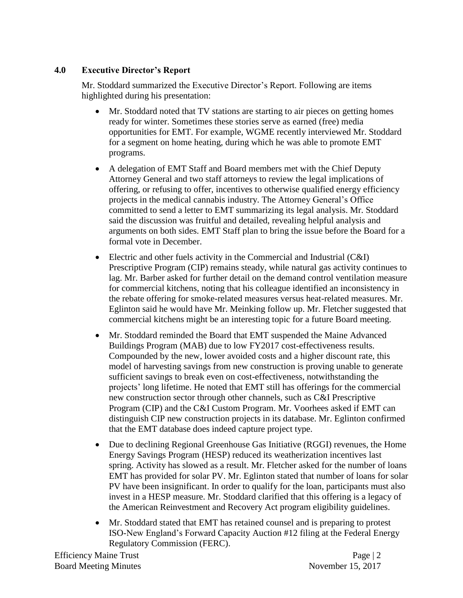# **4.0 Executive Director's Report**

Mr. Stoddard summarized the Executive Director's Report. Following are items highlighted during his presentation:

- Mr. Stoddard noted that TV stations are starting to air pieces on getting homes ready for winter. Sometimes these stories serve as earned (free) media opportunities for EMT. For example, WGME recently interviewed Mr. Stoddard for a segment on home heating, during which he was able to promote EMT programs.
- A delegation of EMT Staff and Board members met with the Chief Deputy Attorney General and two staff attorneys to review the legal implications of offering, or refusing to offer, incentives to otherwise qualified energy efficiency projects in the medical cannabis industry. The Attorney General's Office committed to send a letter to EMT summarizing its legal analysis. Mr. Stoddard said the discussion was fruitful and detailed, revealing helpful analysis and arguments on both sides. EMT Staff plan to bring the issue before the Board for a formal vote in December.
- Electric and other fuels activity in the Commercial and Industrial (C&I) Prescriptive Program (CIP) remains steady, while natural gas activity continues to lag. Mr. Barber asked for further detail on the demand control ventilation measure for commercial kitchens, noting that his colleague identified an inconsistency in the rebate offering for smoke-related measures versus heat-related measures. Mr. Eglinton said he would have Mr. Meinking follow up. Mr. Fletcher suggested that commercial kitchens might be an interesting topic for a future Board meeting.
- Mr. Stoddard reminded the Board that EMT suspended the Maine Advanced Buildings Program (MAB) due to low FY2017 cost-effectiveness results. Compounded by the new, lower avoided costs and a higher discount rate, this model of harvesting savings from new construction is proving unable to generate sufficient savings to break even on cost-effectiveness, notwithstanding the projects' long lifetime. He noted that EMT still has offerings for the commercial new construction sector through other channels, such as C&I Prescriptive Program (CIP) and the C&I Custom Program. Mr. Voorhees asked if EMT can distinguish CIP new construction projects in its database. Mr. Eglinton confirmed that the EMT database does indeed capture project type.
- Due to declining Regional Greenhouse Gas Initiative (RGGI) revenues, the Home Energy Savings Program (HESP) reduced its weatherization incentives last spring. Activity has slowed as a result. Mr. Fletcher asked for the number of loans EMT has provided for solar PV. Mr. Eglinton stated that number of loans for solar PV have been insignificant. In order to qualify for the loan, participants must also invest in a HESP measure. Mr. Stoddard clarified that this offering is a legacy of the American Reinvestment and Recovery Act program eligibility guidelines.
- Mr. Stoddard stated that EMT has retained counsel and is preparing to protest ISO-New England's Forward Capacity Auction #12 filing at the Federal Energy Regulatory Commission (FERC).

Efficiency Maine Trust Page | 2 Board Meeting Minutes November 15, 2017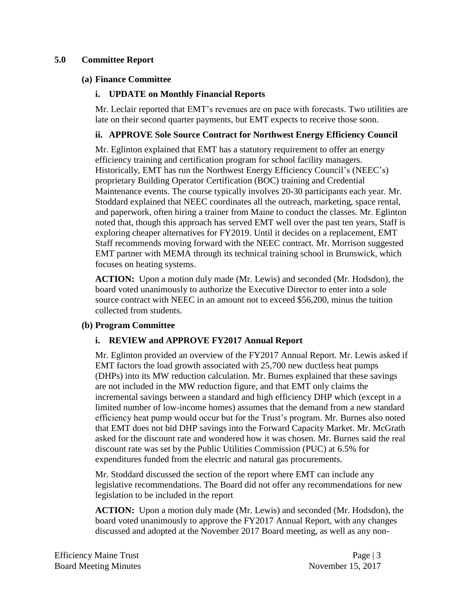# **5.0 Committee Report**

#### **(a) Finance Committee**

# **i. UPDATE on Monthly Financial Reports**

Mr. Leclair reported that EMT's revenues are on pace with forecasts. Two utilities are late on their second quarter payments, but EMT expects to receive those soon.

# **ii. APPROVE Sole Source Contract for Northwest Energy Efficiency Council**

Mr. Eglinton explained that EMT has a statutory requirement to offer an energy efficiency training and certification program for school facility managers. Historically, EMT has run the Northwest Energy Efficiency Council's (NEEC's) proprietary Building Operator Certification (BOC) training and Credential Maintenance events. The course typically involves 20-30 participants each year. Mr. Stoddard explained that NEEC coordinates all the outreach, marketing, space rental, and paperwork, often hiring a trainer from Maine to conduct the classes. Mr. Eglinton noted that, though this approach has served EMT well over the past ten years, Staff is exploring cheaper alternatives for FY2019. Until it decides on a replacement, EMT Staff recommends moving forward with the NEEC contract. Mr. Morrison suggested EMT partner with MEMA through its technical training school in Brunswick, which focuses on heating systems.

**ACTION:** Upon a motion duly made (Mr. Lewis) and seconded (Mr. Hodsdon), the board voted unanimously to authorize the Executive Director to enter into a sole source contract with NEEC in an amount not to exceed \$56,200, minus the tuition collected from students.

# **(b) Program Committee**

# **i. REVIEW and APPROVE FY2017 Annual Report**

Mr. Eglinton provided an overview of the FY2017 Annual Report. Mr. Lewis asked if EMT factors the load growth associated with 25,700 new ductless heat pumps (DHPs) into its MW reduction calculation. Mr. Burnes explained that these savings are not included in the MW reduction figure, and that EMT only claims the incremental savings between a standard and high efficiency DHP which (except in a limited number of low-income homes) assumes that the demand from a new standard efficiency heat pump would occur but for the Trust's program. Mr. Burnes also noted that EMT does not bid DHP savings into the Forward Capacity Market. Mr. McGrath asked for the discount rate and wondered how it was chosen. Mr. Burnes said the real discount rate was set by the Public Utilities Commission (PUC) at 6.5% for expenditures funded from the electric and natural gas procurements.

Mr. Stoddard discussed the section of the report where EMT can include any legislative recommendations. The Board did not offer any recommendations for new legislation to be included in the report

**ACTION:** Upon a motion duly made (Mr. Lewis) and seconded (Mr. Hodsdon), the board voted unanimously to approve the FY2017 Annual Report, with any changes discussed and adopted at the November 2017 Board meeting, as well as any non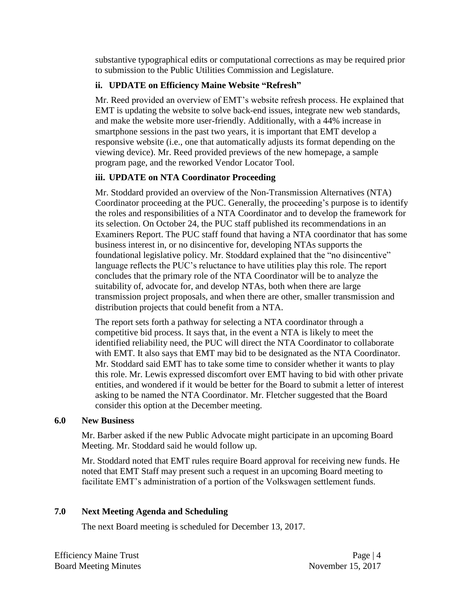substantive typographical edits or computational corrections as may be required prior to submission to the Public Utilities Commission and Legislature.

# **ii. UPDATE on Efficiency Maine Website "Refresh"**

Mr. Reed provided an overview of EMT's website refresh process. He explained that EMT is updating the website to solve back-end issues, integrate new web standards, and make the website more user-friendly. Additionally, with a 44% increase in smartphone sessions in the past two years, it is important that EMT develop a responsive website (i.e., one that automatically adjusts its format depending on the viewing device). Mr. Reed provided previews of the new homepage, a sample program page, and the reworked Vendor Locator Tool.

# **iii. UPDATE on NTA Coordinator Proceeding**

Mr. Stoddard provided an overview of the Non-Transmission Alternatives (NTA) Coordinator proceeding at the PUC. Generally, the proceeding's purpose is to identify the roles and responsibilities of a NTA Coordinator and to develop the framework for its selection. On October 24, the PUC staff published its recommendations in an Examiners Report. The PUC staff found that having a NTA coordinator that has some business interest in, or no disincentive for, developing NTAs supports the foundational legislative policy. Mr. Stoddard explained that the "no disincentive" language reflects the PUC's reluctance to have utilities play this role. The report concludes that the primary role of the NTA Coordinator will be to analyze the suitability of, advocate for, and develop NTAs, both when there are large transmission project proposals, and when there are other, smaller transmission and distribution projects that could benefit from a NTA.

The report sets forth a pathway for selecting a NTA coordinator through a competitive bid process. It says that, in the event a NTA is likely to meet the identified reliability need, the PUC will direct the NTA Coordinator to collaborate with EMT. It also says that EMT may bid to be designated as the NTA Coordinator. Mr. Stoddard said EMT has to take some time to consider whether it wants to play this role. Mr. Lewis expressed discomfort over EMT having to bid with other private entities, and wondered if it would be better for the Board to submit a letter of interest asking to be named the NTA Coordinator. Mr. Fletcher suggested that the Board consider this option at the December meeting.

# **6.0 New Business**

Mr. Barber asked if the new Public Advocate might participate in an upcoming Board Meeting. Mr. Stoddard said he would follow up.

Mr. Stoddard noted that EMT rules require Board approval for receiving new funds. He noted that EMT Staff may present such a request in an upcoming Board meeting to facilitate EMT's administration of a portion of the Volkswagen settlement funds.

# **7.0 Next Meeting Agenda and Scheduling**

The next Board meeting is scheduled for December 13, 2017.